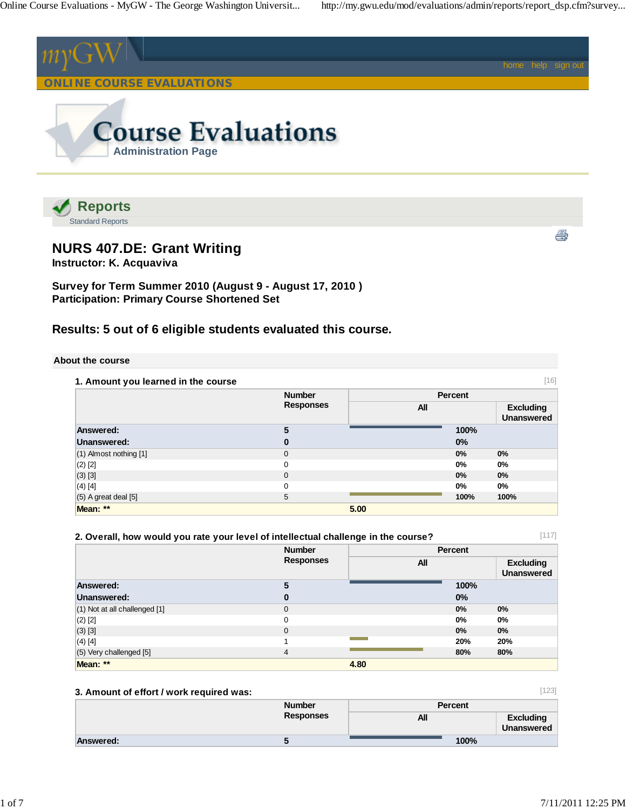

# **NURS 407.DE: Grant Writing**

**Instructor: K. Acquaviva**

**Survey for Term Summer 2010 (August 9 - August 17, 2010 ) Participation: Primary Course Shortened Set**

# **Results: 5 out of 6 eligible students evaluated this course.**

**About the course**

| [16]<br>1. Amount you learned in the course |                  |                |                                       |  |
|---------------------------------------------|------------------|----------------|---------------------------------------|--|
|                                             | <b>Number</b>    | <b>Percent</b> |                                       |  |
|                                             | <b>Responses</b> | <b>All</b>     | <b>Excluding</b><br><b>Unanswered</b> |  |
| Answered:                                   | 5                | 100%           |                                       |  |
| Unanswered:                                 | $\bf{0}$         | $0\%$          |                                       |  |
| (1) Almost nothing [1]                      | 0                | $0\%$          | 0%                                    |  |
| $(2)$ $[2]$                                 | $\Omega$         | 0%             | 0%                                    |  |
| (3) [3]                                     | 0                | $0\%$          | $0\%$                                 |  |
| $(4)$ [4]                                   | 0                | 0%             | 0%                                    |  |
| $(5)$ A great deal $[5]$                    | 5                | 100%           | 100%                                  |  |
| Mean: **                                    | 5.00             |                |                                       |  |

# **2. Overall, how would you rate your level of intellectual challenge in the course?**

 **Number Responses Percent All Excluding Unanswered Answered: 5 100% Unanswered:** 0 0% (1) Not at all challenged [1] 0 **0% 0%** (2) [2] 0 **0% 0%** (3) [3] 0 **0% 0%** (4) [4] 1 **20% 20%** (5) Very challenged [5] 4 **80% 80% Mean: \*\* 4.80**

#### **3. Amount of effort / work required was:**

| <b>Number</b><br><b>Responses</b> | <b>Percent</b> |                                       |
|-----------------------------------|----------------|---------------------------------------|
|                                   | All            | <b>Excluding</b><br><b>Unanswered</b> |
|                                   | 100%           |                                       |
|                                   |                |                                       |

[123]

[117]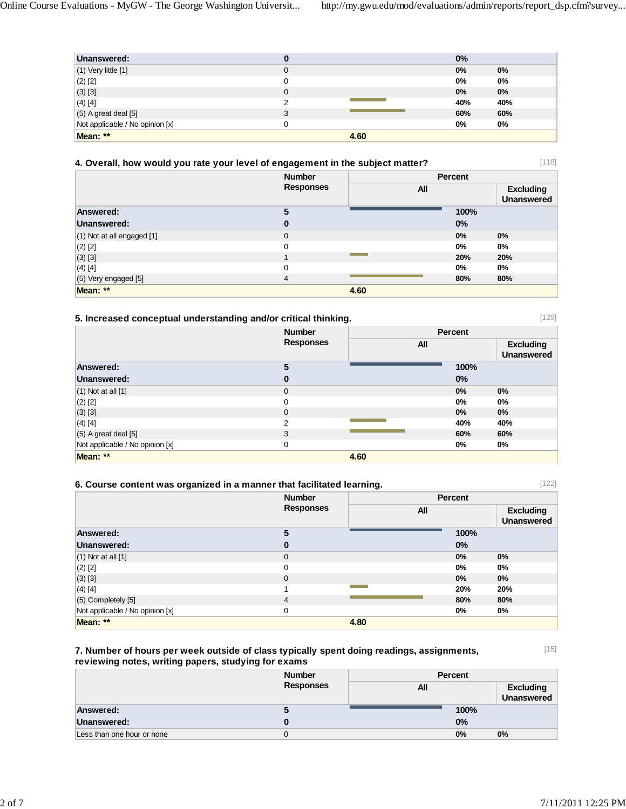| Unanswered:                     |             |      | 0%  |       |
|---------------------------------|-------------|------|-----|-------|
| (1) Very little [1]             | 0           |      | 0%  | $0\%$ |
| $(2)$ $[2]$                     |             |      | 0%  | 0%    |
| $(3)$ $[3]$                     | $\mathbf 0$ |      | 0%  | $0\%$ |
| (4) [4]                         | 2           |      | 40% | 40%   |
| (5) A great deal [5]            | 3           |      | 60% | 60%   |
| Not applicable / No opinion [x] |             |      | 0%  | $0\%$ |
| Mean: **                        |             | 4.60 |     |       |

|  | 4. Overall, how would you rate your level of engagement in the subject matter? |
|--|--------------------------------------------------------------------------------|
|--|--------------------------------------------------------------------------------|

[118]

[129]

|                                | <b>Number</b>    | <b>Percent</b> |      |                                       |
|--------------------------------|------------------|----------------|------|---------------------------------------|
|                                | <b>Responses</b> | <b>All</b>     |      | <b>Excluding</b><br><b>Unanswered</b> |
| <b>Answered:</b>               | 5                |                | 100% |                                       |
| Unanswered:                    | $\bf{0}$         |                | 0%   |                                       |
| $(1)$ Not at all engaged $[1]$ | $\mathbf{0}$     |                | 0%   | $0\%$                                 |
| $(2)$ [2]                      | 0                |                | 0%   | 0%                                    |
| $(3)$ [3]                      |                  |                | 20%  | 20%                                   |
| $(4)$ [4]                      | $\Omega$         |                | 0%   | $0\%$                                 |
| $(5)$ Very engaged $[5]$       | $\overline{4}$   |                | 80%  | 80%                                   |
| Mean: **                       |                  | 4.60           |      |                                       |

## **5. Increased conceptual understanding and/or critical thinking.**

|                                 | <b>Number</b>    | Percent    |       |                                       |
|---------------------------------|------------------|------------|-------|---------------------------------------|
|                                 | <b>Responses</b> | <b>All</b> |       | <b>Excluding</b><br><b>Unanswered</b> |
| <b>Answered:</b>                | 5                |            | 100%  |                                       |
| Unanswered:                     | $\bf{0}$         |            | 0%    |                                       |
| $(1)$ Not at all $[1]$          | $\mathbf{0}$     |            | 0%    | $0\%$                                 |
| $(2)$ [2]                       | 0                |            | $0\%$ | $0\%$                                 |
| (3) [3]                         | $\mathbf{0}$     |            | 0%    | $0\%$                                 |
| $(4)$ [4]                       | 2                |            | 40%   | 40%                                   |
| $(5)$ A great deal $[5]$        | 3                |            | 60%   | 60%                                   |
| Not applicable / No opinion [x] | 0                |            | 0%    | $0\%$                                 |
| Mean: **                        |                  | 4.60       |       |                                       |

|  |  | 6. Course content was organized in a manner that facilitated learning. |
|--|--|------------------------------------------------------------------------|
|--|--|------------------------------------------------------------------------|

|                                 | <b>Number</b>    | Percent |       |                                       |
|---------------------------------|------------------|---------|-------|---------------------------------------|
|                                 | <b>Responses</b> | All     |       | <b>Excluding</b><br><b>Unanswered</b> |
| Answered:                       | 5                |         | 100%  |                                       |
| Unanswered:                     | $\bf{0}$         |         | $0\%$ |                                       |
| $(1)$ Not at all $[1]$          | $\mathbf 0$      |         | 0%    | 0%                                    |
| $(2)$ [2]                       | 0                |         | 0%    | $0\%$                                 |
| $(3)$ [3]                       | $\mathbf 0$      |         | 0%    | $0\%$                                 |
| $(4)$ [4]                       |                  |         | 20%   | 20%                                   |
| (5) Completely [5]              | $\overline{4}$   |         | 80%   | 80%                                   |
| Not applicable / No opinion [x] | 0                |         | 0%    | 0%                                    |
| Mean: **                        |                  | 4.80    |       |                                       |

#### **7. Number of hours per week outside of class typically spent doing readings, assignments, reviewing notes, writing papers, studying for exams**

[15]

[122]

| . .<br>. .<br>.            | . .              |         |                                       |
|----------------------------|------------------|---------|---------------------------------------|
|                            | <b>Number</b>    | Percent |                                       |
|                            | <b>Responses</b> | All     | <b>Excluding</b><br><b>Unanswered</b> |
| Answered:                  | э                | 100%    |                                       |
| Unanswered:                |                  | 0%      |                                       |
| Less than one hour or none |                  | 0%      | 0%                                    |
|                            |                  |         |                                       |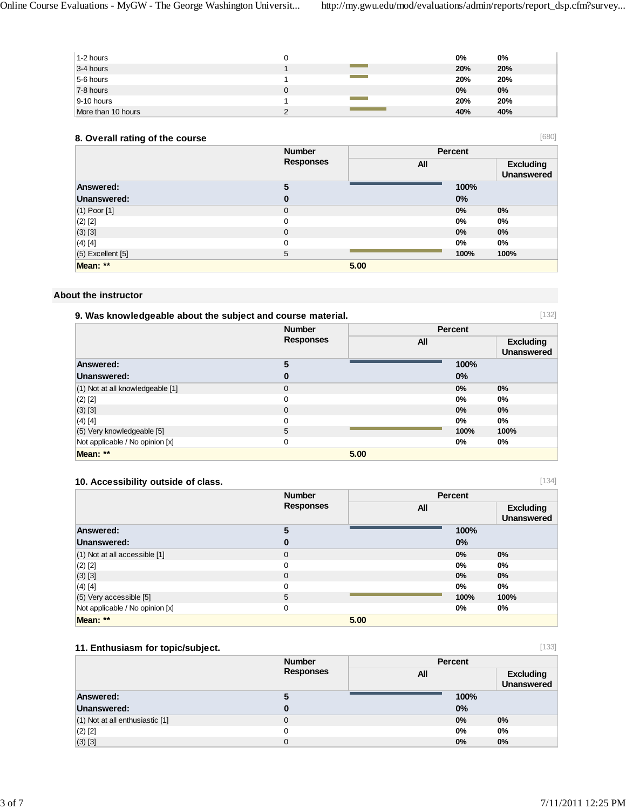| 1-2 hours          |             | 0%  | $0\%$ |
|--------------------|-------------|-----|-------|
| 3-4 hours          |             | 20% | 20%   |
| 5-6 hours          | a a shekara | 20% | 20%   |
| 7-8 hours          |             | 0%  | 0%    |
| 9-10 hours         |             | 20% | 20%   |
| More than 10 hours |             | 40% | 40%   |

### **8. Overall rating of the course**

|                   | <b>Number</b>    | Percent |       |                                       |
|-------------------|------------------|---------|-------|---------------------------------------|
|                   | <b>Responses</b> | All     |       | <b>Excluding</b><br><b>Unanswered</b> |
| Answered:         | 5                |         | 100%  |                                       |
| Unanswered:       | 0                |         | 0%    |                                       |
| $(1)$ Poor $[1]$  | $\mathbf 0$      |         | 0%    | $0\%$                                 |
| $(2)$ [2]         | $\mathbf 0$      |         | 0%    | $0\%$                                 |
| (3) [3]           | $\mathbf 0$      |         | $0\%$ | $0\%$                                 |
| $(4)$ [4]         | 0                |         | 0%    | $0\%$                                 |
| (5) Excellent [5] | 5                |         | 100%  | 100%                                  |
| Mean: **          |                  | 5.00    |       |                                       |

#### **About the instructor**

| [132]<br>9. Was knowledgeable about the subject and course material. |                  |                |                                       |  |
|----------------------------------------------------------------------|------------------|----------------|---------------------------------------|--|
|                                                                      | <b>Number</b>    | <b>Percent</b> |                                       |  |
|                                                                      | <b>Responses</b> | All            | <b>Excluding</b><br><b>Unanswered</b> |  |
| Answered:                                                            | 5                | 100%           |                                       |  |
| Unanswered:                                                          | 0                | 0%             |                                       |  |
| (1) Not at all knowledgeable [1]                                     | $\mathbf{0}$     | $0\%$          | $0\%$                                 |  |
| $(2)$ [2]                                                            | $\Omega$         | 0%             | $0\%$                                 |  |
| $(3)$ [3]                                                            | $\mathbf{0}$     | 0%             | 0%                                    |  |
| $(4)$ [4]                                                            | 0                | 0%             | 0%                                    |  |
| $(5)$ Very knowledgeable [5]                                         | 5                | 100%           | 100%                                  |  |
| Not applicable / No opinion [x]                                      | 0                | 0%             | $0\%$                                 |  |
| Mean: **                                                             |                  | 5.00           |                                       |  |

### **10. Accessibility outside of class.**

|                                 | <b>Number</b>    | <b>Percent</b> |                                       |
|---------------------------------|------------------|----------------|---------------------------------------|
|                                 | <b>Responses</b> | All            | <b>Excluding</b><br><b>Unanswered</b> |
| Answered:                       | 5                | 100%           |                                       |
| Unanswered:                     | 0                | $0\%$          |                                       |
| (1) Not at all accessible [1]   | 0                | 0%             | $0\%$                                 |
| $(2)$ [2]                       | 0                | 0%             | 0%                                    |
| $(3)$ [3]                       | 0                | $0\%$          | $0\%$                                 |
| $(4)$ [4]                       | 0                | $0\%$          | $0\%$                                 |
| $(5)$ Very accessible $[5]$     | 5                | 100%           | 100%                                  |
| Not applicable / No opinion [x] | 0                | 0%             | 0%                                    |
| Mean: **                        |                  | 5.00           |                                       |

### **11. Enthusiasm for topic/subject.**

|                                 | <b>Number</b><br><b>Responses</b> |     | Percent |                                       |
|---------------------------------|-----------------------------------|-----|---------|---------------------------------------|
|                                 |                                   | All |         | <b>Excluding</b><br><b>Unanswered</b> |
| Answered:                       | 5                                 |     | 100%    |                                       |
| Unanswered:                     | 0                                 |     | 0%      |                                       |
| (1) Not at all enthusiastic [1] | $\mathbf{0}$                      |     | 0%      | $0\%$                                 |
| $(2)$ [2]                       | $\mathbf 0$                       |     | 0%      | 0%                                    |
| (3) [3]                         | $\mathbf{0}$                      |     | 0%      | $0\%$                                 |

[680]

[134]

[133]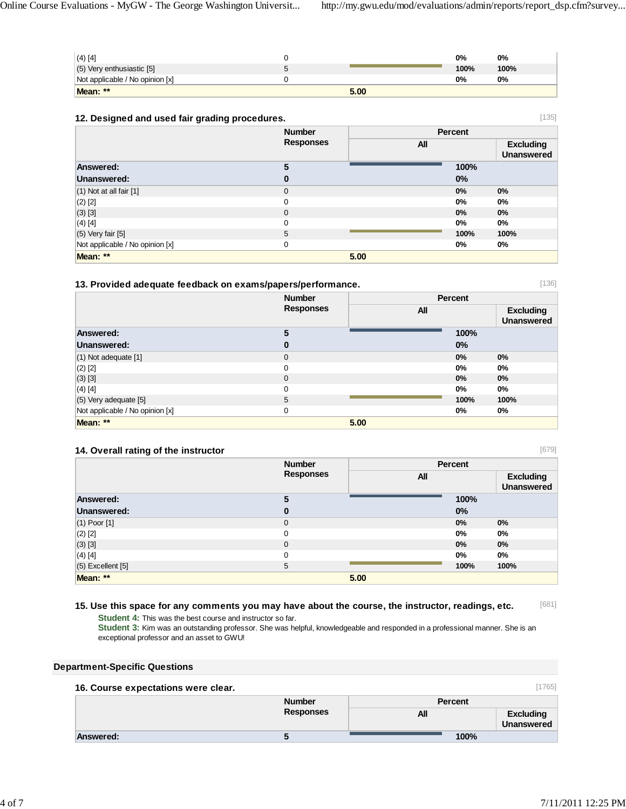| $(4)$ [4]                       |   |      | 0%   | $0\%$ |
|---------------------------------|---|------|------|-------|
| (5) Very enthusiastic [5]       | ∽ |      | 100% | 100%  |
| Not applicable / No opinion [x] |   |      | 0%   | 0%    |
| Mean: **                        |   | 5.00 |      |       |

## **12. Designed and used fair grading procedures.**

| - -                             |                  |      |         |                                       |
|---------------------------------|------------------|------|---------|---------------------------------------|
|                                 | <b>Number</b>    |      | Percent |                                       |
|                                 | <b>Responses</b> | All  |         | <b>Excluding</b><br><b>Unanswered</b> |
| Answered:                       | 5                |      | 100%    |                                       |
| Unanswered:                     | $\bf{0}$         |      | $0\%$   |                                       |
| $(1)$ Not at all fair $[1]$     | $\mathbf 0$      |      | 0%      | $0\%$                                 |
| $(2)$ [2]                       | 0                |      | 0%      | $0\%$                                 |
| $(3)$ [3]                       | $\mathbf 0$      |      | 0%      | $0\%$                                 |
| $(4)$ [4]                       | 0                |      | $0\%$   | 0%                                    |
| $(5)$ Very fair $[5]$           | 5                |      | 100%    | 100%                                  |
| Not applicable / No opinion [x] | 0                |      | 0%      | $0\%$                                 |
| Mean: **                        |                  | 5.00 |         |                                       |

#### **13. Provided adequate feedback on exams/papers/performance.**

|                                 | <b>Number</b>    | Percent    |                                       |
|---------------------------------|------------------|------------|---------------------------------------|
|                                 | <b>Responses</b> | <b>All</b> | <b>Excluding</b><br><b>Unanswered</b> |
| Answered:                       | 5                | 100%       |                                       |
| Unanswered:                     | $\bf{0}$         | 0%         |                                       |
| $(1)$ Not adequate $[1]$        | $\mathbf{0}$     | 0%         | 0%                                    |
| $(2)$ [2]                       | 0                | $0\%$      | 0%                                    |
| $(3)$ [3]                       | $\mathbf{0}$     | 0%         | 0%                                    |
| $(4)$ [4]                       | 0                | $0\%$      | 0%                                    |
| (5) Very adequate [5]           | 5                | 100%       | 100%                                  |
| Not applicable / No opinion [x] | 0                | 0%         | $0\%$                                 |
| Mean: **                        |                  | 5.00       |                                       |

#### **14. Overall rating of the instructor**

|                       | <b>Number</b>    | Percent |                                       |
|-----------------------|------------------|---------|---------------------------------------|
|                       | <b>Responses</b> | All     | <b>Excluding</b><br><b>Unanswered</b> |
| Answered:             | 5                | 100%    |                                       |
| Unanswered:           | 0                | 0%      |                                       |
| $(1)$ Poor $[1]$      | $\mathbf{0}$     | 0%      | 0%                                    |
| $(2)$ [2]             | $\mathbf 0$      | 0%      | $0\%$                                 |
| (3) [3]               | $\mathbf{0}$     | 0%      | 0%                                    |
| $(4)$ [4]             | $\mathbf 0$      | 0%      | $0\%$                                 |
| $(5)$ Excellent $[5]$ | 5                | 100%    | 100%                                  |
| Mean: **              |                  | 5.00    |                                       |

#### [681] **15. Use this space for any comments you may have about the course, the instructor, readings, etc.**

**Student 4:** This was the best course and instructor so far.

**Student 3:** Kim was an outstanding professor. She was helpful, knowledgeable and responded in a professional manner. She is an exceptional professor and an asset to GWU!

#### **Department-Specific Questions**

| 16. Course expectations were clear. |                  |         | [1765]                         |
|-------------------------------------|------------------|---------|--------------------------------|
|                                     | <b>Number</b>    | Percent |                                |
|                                     | <b>Responses</b> | All     | <b>Excluding</b><br>Unanswered |
| Answered:                           |                  | 100%    |                                |

[136]

[135]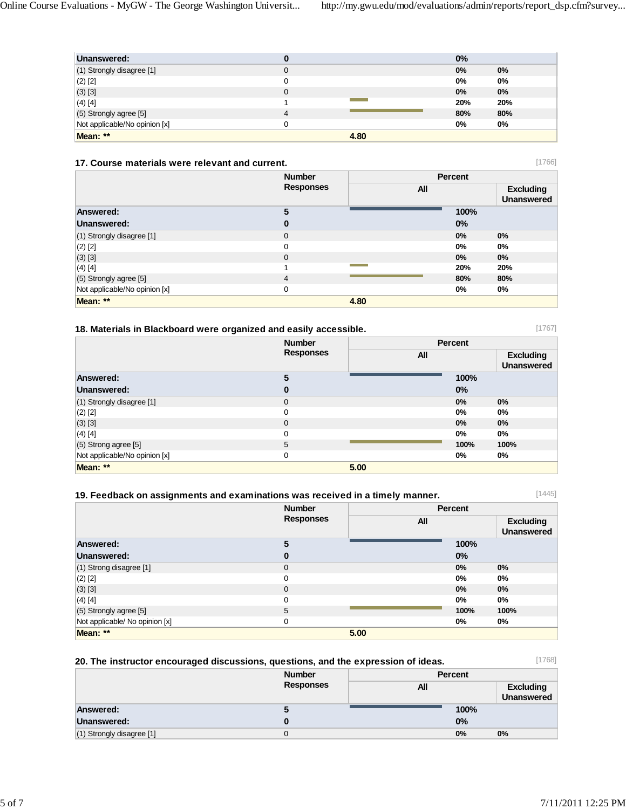| Unanswered:                   | 0              |      | $0\%$ |       |
|-------------------------------|----------------|------|-------|-------|
| (1) Strongly disagree [1]     | $\mathbf 0$    |      | 0%    | $0\%$ |
| $(2)$ [2]                     | 0              |      | 0%    | $0\%$ |
| (3) [3]                       | 0              |      | 0%    | 0%    |
| (4) [4]                       |                |      | 20%   | 20%   |
| $(5)$ Strongly agree $[5]$    | $\overline{4}$ |      | 80%   | 80%   |
| Not applicable/No opinion [x] | 0              |      | 0%    | 0%    |
| Mean: **                      |                | 4.80 |       |       |

# **17. Course materials were relevant and current.**

|                               | <b>Number</b>    | Percent    |      |                                       |
|-------------------------------|------------------|------------|------|---------------------------------------|
|                               | <b>Responses</b> | <b>All</b> |      | <b>Excluding</b><br><b>Unanswered</b> |
| <b>Answered:</b>              | 5                |            | 100% |                                       |
| Unanswered:                   | 0                |            | 0%   |                                       |
| (1) Strongly disagree [1]     | $\mathbf 0$      |            | 0%   | 0%                                    |
| $(2)$ [2]                     | 0                |            | 0%   | $0\%$                                 |
| $(3)$ [3]                     | $\mathbf 0$      |            | 0%   | $0\%$                                 |
| $(4)$ [4]                     |                  |            | 20%  | 20%                                   |
| (5) Strongly agree [5]        | $\overline{4}$   |            | 80%  | 80%                                   |
| Not applicable/No opinion [x] | 0                |            | 0%   | $0\%$                                 |
| Mean: **                      |                  | 4.80       |      |                                       |

| 18. Materials in Blackboard were organized and easily accessible. |                  |      |         | [1767]                                |
|-------------------------------------------------------------------|------------------|------|---------|---------------------------------------|
|                                                                   | <b>Number</b>    |      | Percent |                                       |
|                                                                   | <b>Responses</b> | All  |         | <b>Excluding</b><br><b>Unanswered</b> |
| Answered:                                                         | 5                |      | 100%    |                                       |
| Unanswered:                                                       | $\bf{0}$         |      | 0%      |                                       |
| (1) Strongly disagree [1]                                         | $\mathbf{0}$     |      | 0%      | $0\%$                                 |
| $(2)$ [2]                                                         | $\Omega$         |      | 0%      | $0\%$                                 |
| $(3)$ [3]                                                         | $\mathbf{0}$     |      | $0\%$   | $0\%$                                 |
| $(4)$ [4]                                                         | $\Omega$         |      | 0%      | 0%                                    |
| $(5)$ Strong agree [5]                                            | 5                |      | 100%    | 100%                                  |
| Not applicable/No opinion [x]                                     | 0                |      | 0%      | 0%                                    |
| Mean: **                                                          |                  | 5.00 |         |                                       |

| 19. Feedback on assignments and examinations was received in a timely manner. |                  |         |                                       |
|-------------------------------------------------------------------------------|------------------|---------|---------------------------------------|
|                                                                               | <b>Number</b>    | Percent |                                       |
|                                                                               | <b>Responses</b> | All     | <b>Excluding</b><br><b>Unanswered</b> |
| <b>Answered:</b>                                                              |                  | 100%    |                                       |
| Unanswered:                                                                   |                  | $0\%$   |                                       |
| $(1)$ Strong disagree $[1]$                                                   | $\Omega$         | 0%      | 0%                                    |
| $(2)$ [2]                                                                     |                  | 0%      | 0%                                    |

| Mean: **                       | 5.00 |      |      |  |
|--------------------------------|------|------|------|--|
| Not applicable/ No opinion [x] |      | 0%   | 0%   |  |
| (5) Strongly agree [5]         |      | 100% | 100% |  |
| $(4)$ [4]                      |      | 0%   | 0%   |  |
| $(3)$ [3]                      |      | 0%   | 0%   |  |

| 20. The instructor encouraged discussions, questions, and the expression of ideas. |                  |         | 1768]                                 |
|------------------------------------------------------------------------------------|------------------|---------|---------------------------------------|
|                                                                                    | <b>Number</b>    | Percent |                                       |
|                                                                                    | <b>Responses</b> | All     | <b>Excluding</b><br><b>Unanswered</b> |
| <b>Answered:</b>                                                                   |                  | 100%    |                                       |
| Unanswered:                                                                        |                  | $0\%$   |                                       |
| (1) Strongly disagree [1]                                                          |                  | 0%      | 0%                                    |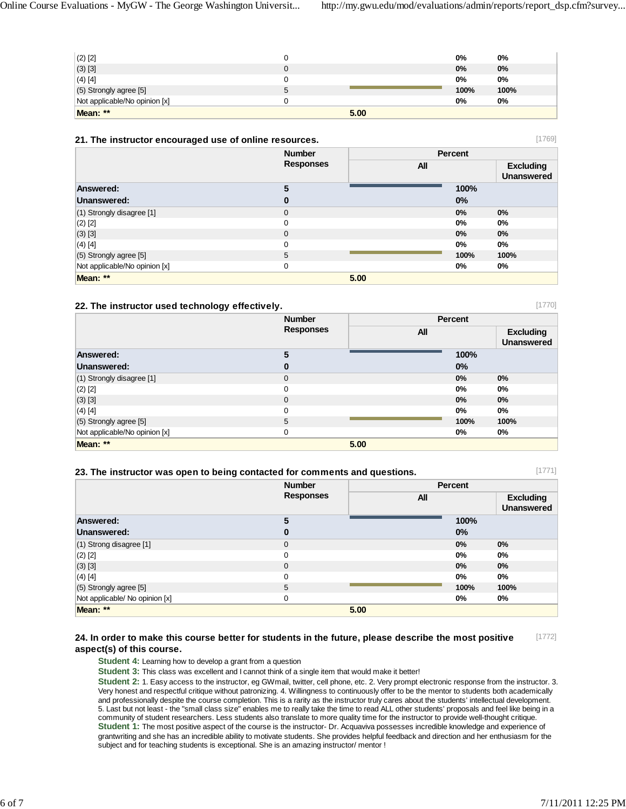| $(2)$ $[2]$                   |             |      | 0%    | 0%    |
|-------------------------------|-------------|------|-------|-------|
| (3) [3]                       |             |      | 0%    | $0\%$ |
| $(4)$ [4]                     |             |      | $0\%$ | 0%    |
| (5) Strongly agree [5]        | $\mathbf b$ |      | 100%  | 100%  |
| Not applicable/No opinion [x] |             |      | 0%    | 0%    |
| Mean: **                      |             | 5.00 |       |       |

#### **21. The instructor encouraged use of online resources.**

|                               | <b>Number</b>    |            | Percent |                                       |
|-------------------------------|------------------|------------|---------|---------------------------------------|
|                               | <b>Responses</b> | <b>All</b> |         | <b>Excluding</b><br><b>Unanswered</b> |
| <b>Answered:</b>              | 5                |            | 100%    |                                       |
| Unanswered:                   | 0                |            | 0%      |                                       |
| (1) Strongly disagree [1]     | $\mathbf 0$      |            | 0%      | $0\%$                                 |
| $(2)$ [2]                     | $\mathbf 0$      |            | 0%      | 0%                                    |
| $(3)$ [3]                     | $\mathbf 0$      |            | $0\%$   | $0\%$                                 |
| $(4)$ [4]                     | $\mathbf 0$      |            | 0%      | $0\%$                                 |
| (5) Strongly agree [5]        | 5                |            | 100%    | 100%                                  |
| Not applicable/No opinion [x] | $\mathbf 0$      |            | 0%      | $0\%$                                 |
| Mean: **                      |                  | 5.00       |         |                                       |

#### **22. The instructor used technology effectively.**

|                               | <b>Number</b>    |            | <b>Percent</b> |                                       |
|-------------------------------|------------------|------------|----------------|---------------------------------------|
|                               | <b>Responses</b> | <b>All</b> |                | <b>Excluding</b><br><b>Unanswered</b> |
| <b>Answered:</b>              | 5                |            | 100%           |                                       |
| Unanswered:                   | 0                |            | 0%             |                                       |
| (1) Strongly disagree [1]     | $\mathbf{0}$     |            | 0%             | 0%                                    |
| $(2)$ [2]                     | 0                |            | $0\%$          | $0\%$                                 |
| $(3)$ [3]                     | $\mathbf{0}$     |            | 0%             | $0\%$                                 |
| $(4)$ [4]                     | 0                |            | 0%             | $0\%$                                 |
| $(5)$ Strongly agree $[5]$    | 5                |            | 100%           | 100%                                  |
| Not applicable/No opinion [x] | 0                |            | 0%             | $0\%$                                 |
| Mean: **                      |                  | 5.00       |                |                                       |

#### **23. The instructor was open to being contacted for comments and questions.**

[1769]

[1770]

|                                | <b>Number</b>    | Percent    |                                       |
|--------------------------------|------------------|------------|---------------------------------------|
|                                | <b>Responses</b> | <b>All</b> | <b>Excluding</b><br><b>Unanswered</b> |
| <b>Answered:</b>               | 5                | 100%       |                                       |
| Unanswered:                    | $\bf{0}$         | 0%         |                                       |
| (1) Strong disagree [1]        | $\mathbf{0}$     | 0%         | 0%                                    |
| $(2)$ [2]                      | $\mathbf 0$      | 0%         | 0%                                    |
| $(3)$ [3]                      | $\mathbf{0}$     | 0%         | 0%                                    |
| $(4)$ [4]                      | $\mathbf 0$      | 0%         | 0%                                    |
| (5) Strongly agree [5]         | 5                | 100%       | 100%                                  |
| Not applicable/ No opinion [x] | 0                | 0%         | 0%                                    |
| Mean: **                       |                  | 5.00       |                                       |

#### [1772] **24. In order to make this course better for students in the future, please describe the most positive aspect(s) of this course.**

**Student 4:** Learning how to develop a grant from a question

**Student 3:** This class was excellent and I cannot think of a single item that would make it better!

**Student 2:** 1. Easy access to the instructor, eg GWmail, twitter, cell phone, etc. 2. Very prompt electronic response from the instructor. 3. Very honest and respectful critique without patronizing. 4. Willingness to continuously offer to be the mentor to students both academically and professionally despite the course completion. This is a rarity as the instructor truly cares about the students' intellectual development. 5. Last but not least - the "small class size" enables me to really take the time to read ALL other students' proposals and feel like being in a community of student researchers. Less students also translate to more quality time for the instructor to provide well-thought critique. **Student 1:** The most positive aspect of the course is the instructor- Dr. Acquaviva possesses incredible knowledge and experience of grantwriting and she has an incredible ability to motivate students. She provides helpful feedback and direction and her enthusiasm for the subject and for teaching students is exceptional. She is an amazing instructor/ mentor !